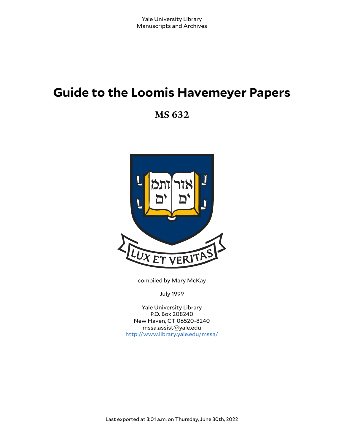# **Guide to the Loomis Havemeyer Papers**

**MS 632**



compiled by Mary McKay

July 1999

Yale University Library P.O. Box 208240 New Haven, CT 06520-8240 mssa.assist@yale.edu <http://www.library.yale.edu/mssa/>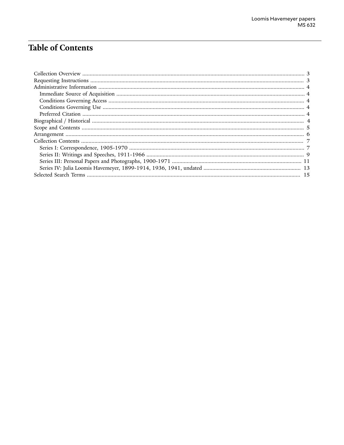# **Table of Contents**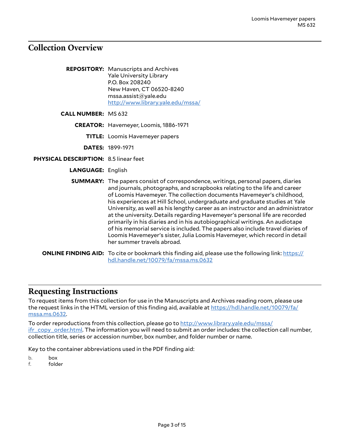## <span id="page-2-0"></span>**Collection Overview**

**REPOSITORY:** Manuscripts and Archives Yale University Library P.O. Box 208240 New Haven, CT 06520-8240 mssa.assist@yale.edu <http://www.library.yale.edu/mssa/>

**CALL NUMBER:** MS 632

**CREATOR:** Havemeyer, Loomis, 1886-1971

**TITLE:** Loomis Havemeyer papers

**DATES:** 1899-1971

- **PHYSICAL DESCRIPTION:** 8.5 linear feet
	- **LANGUAGE:** English
	- **SUMMARY:** The papers consist of correspondence, writings, personal papers, diaries and journals, photographs, and scrapbooks relating to the life and career of Loomis Havemeyer. The collection documents Havemeyer's childhood, his experiences at Hill School, undergraduate and graduate studies at Yale University, as well as his lengthy career as an instructor and an administrator at the university. Details regarding Havemeyer's personal life are recorded primarily in his diaries and in his autobiographical writings. An audiotape of his memorial service is included. The papers also include travel diaries of Loomis Havemeyer's sister, Julia Loomis Havemeyer, which record in detail her summer travels abroad.
	- **ONLINE FINDING AID:** To cite or bookmark this finding aid, please use the following link: [https://](https://hdl.handle.net/10079/fa/mssa.ms.0632) [hdl.handle.net/10079/fa/mssa.ms.0632](https://hdl.handle.net/10079/fa/mssa.ms.0632)

## <span id="page-2-1"></span>**Requesting Instructions**

To request items from this collection for use in the Manuscripts and Archives reading room, please use the request links in the HTML version of this finding aid, available at [https://hdl.handle.net/10079/fa/](https://hdl.handle.net/10079/fa/mssa.ms.0632) [mssa.ms.0632.](https://hdl.handle.net/10079/fa/mssa.ms.0632)

To order reproductions from this collection, please go to [http://www.library.yale.edu/mssa/](http://www.library.yale.edu/mssa/ifr_copy_order.html) [ifr\\_copy\\_order.html.](http://www.library.yale.edu/mssa/ifr_copy_order.html) The information you will need to submit an order includes: the collection call number, collection title, series or accession number, box number, and folder number or name.

Key to the container abbreviations used in the PDF finding aid:

b. box

f. folder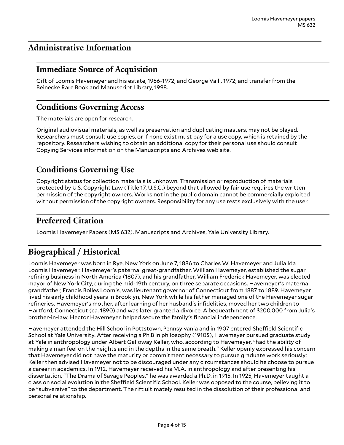# <span id="page-3-0"></span>**Administrative Information**

# <span id="page-3-1"></span>**Immediate Source of Acquisition**

Gift of Loomis Havemeyer and his estate, 1966-1972; and George Vaill, 1972; and transfer from the Beinecke Rare Book and Manuscript Library, 1998.

# <span id="page-3-2"></span>**Conditions Governing Access**

The materials are open for research.

Original audiovisual materials, as well as preservation and duplicating masters, may not be played. Researchers must consult use copies, or if none exist must pay for a use copy, which is retained by the repository. Researchers wishing to obtain an additional copy for their personal use should consult Copying Services information on the Manuscripts and Archives web site.

# <span id="page-3-3"></span>**Conditions Governing Use**

Copyright status for collection materials is unknown. Transmission or reproduction of materials protected by U.S. Copyright Law (Title 17, U.S.C.) beyond that allowed by fair use requires the written permission of the copyright owners. Works not in the public domain cannot be commercially exploited without permission of the copyright owners. Responsibility for any use rests exclusively with the user.

# <span id="page-3-4"></span>**Preferred Citation**

Loomis Havemeyer Papers (MS 632). Manuscripts and Archives, Yale University Library.

# <span id="page-3-5"></span>**Biographical / Historical**

Loomis Havemeyer was born in Rye, New York on June 7, 1886 to Charles W. Havemeyer and Julia Ida Loomis Havemeyer. Havemeyer's paternal great-grandfather, William Havemeyer, established the sugar refining business in North America (1807), and his grandfather, William Frederick Havemeyer, was elected mayor of New York City, during the mid-19th century, on three separate occasions. Havemeyer's maternal grandfather, Francis Bolles Loomis, was lieutenant governor of Connecticut from 1887 to 1889. Havemeyer lived his early childhood years in Brooklyn, New York while his father managed one of the Havemeyer sugar refineries. Havemeyer's mother, after learning of her husband's infidelities, moved her two children to Hartford, Connecticut (ca. 1890) and was later granted a divorce. A bequeathment of \$200,000 from Julia's brother-in-law, Hector Havemeyer, helped secure the family's financial independence.

Havemeyer attended the Hill School in Pottstown, Pennsylvania and in 1907 entered Sheffield Scientific School at Yale University. After receiving a Ph.B in philosophy (1910S), Havemeyer pursued graduate study at Yale in anthropology under Albert Galloway Keller, who, according to Havemeyer, "had the ability of making a man feel on the heights and in the depths in the same breath." Keller openly expressed his concern that Havemeyer did not have the maturity or commitment necessary to pursue graduate work seriously; Keller then advised Havemeyer not to be discouraged under any circumstances should he choose to pursue a career in academics. In 1912, Havemeyer received his M.A. in anthropology and after presenting his dissertation, "The Drama of Savage Peoples," he was awarded a Ph.D. in 1915. In 1925, Havemeyer taught a class on social evolution in the Sheffield Scientific School. Keller was opposed to the course, believing it to be "subversive" to the department. The rift ultimately resulted in the dissolution of their professional and personal relationship.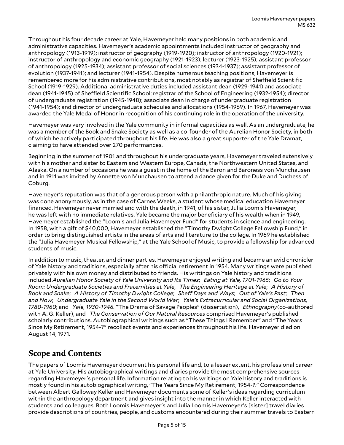Throughout his four decade career at Yale, Havemeyer held many positions in both academic and administrative capacities. Havemeyer's academic appointments included instructor of geography and anthropology (1913-1919); instructor of geography (1919-1920); instructor of anthropology (1920-1921); instructor of anthropology and economic geography (1921-1923); lecturer (1923-1925); assistant professor of anthropology (1925-1934); assistant professor of social sciences (1934-1937); assistant professor of evolution (1937-1941); and lecturer (1941-1954). Despite numerous teaching positions, Havemeyer is remembered more for his administrative contributions, most notably as registrar of Sheffield Scientific School (1919-1929). Additional administrative duties included assistant dean (1929-1941) and associate dean (1941-1945) of Sheffield Scientific School; registrar of the School of Engineering (1932-1954); director of undergraduate registration (1945-1948); associate dean in charge of undergraduate registration (1941-1954); and director of undergraduate schedules and allocations (1954-1969). In 1967, Havemeyer was awarded the Yale Medal of Honor in recognition of his continuing role in the operation of the university.

Havemeyer was very involved in the Yale community in informal capacities as well. As an undergraduate, he was a member of the Book and Snake Society as well as a co-founder of the Aurelian Honor Society, in both of which he actively participated throughout his life. He was also a great supporter of the Yale Dramat, claiming to have attended over 270 performances.

Beginning in the summer of 1901 and throughout his undergraduate years, Havemeyer traveled extensively with his mother and sister to Eastern and Western Europe, Canada, the Northwestern United States, and Alaska. On a number of occasions he was a guest in the home of the Baron and Baroness von Munchausen and in 1911 was invited by Annette von Munchausen to attend a dance given for the Duke and Duchess of Coburg.

Havemeyer's reputation was that of a generous person with a philanthropic nature. Much of his giving was done anonymously, as in the case of Carnes Weeks, a student whose medical education Havemeyer financed. Havemeyer never married and with the death, in 1941, of his sister, Julia Loomis Havemeyer, he was left with no immediate relatives. Yale became the major beneficiary of his wealth when in 1949, Havemeyer established the "Loomis and Julia Havemeyer Fund" for students in science and engineering. In 1958, with a gift of \$40,000, Havemeyer established the "Timothy Dwight College Fellowship Fund," in order to bring distinguished artists in the areas of arts and literature to the college. In 1969 he established the "Julia Havemeyer Musical Fellowship," at the Yale School of Music, to provide a fellowship for advanced students of music.

In addition to music, theater, and dinner parties, Havemeyer enjoyed writing and became an avid chronicler of Yale history and traditions, especially after his official retirement in 1954. Many writings were published privately with his own money and distributed to friends. His writings on Yale history and traditions included *Aurelian Honor Society of Yale University and Its Times*; *Eating at Yale, 1701-1965*; *Go to Your Room: Undergraduate Societies and Fraternities at Yale*, *The Engineering Heritage at Yale*; *A History of* Book and Snake; A History of Timothy Dwight College; Sheff Days and Ways; Out of Yale's Past; Then *and Now*; *Undergraduate Yale in the Second World War*; *Yale's Extracurricular and Social Organizations, 1780-1960*; and *Yale, 1930-1946*. "The Drama of Savage Peoples" (dissertation), *Ethnography*(co-authored with A. G. Keller), and *The Conservation of Our Natural Resources* comprised Havemeyer's published scholarly contributions. Autobiographical writings such as "These Things I Remember" and "The Years Since My Retirement, 1954-?" recollect events and experiences throughout his life. Havemeyer died on August 14, 1971.

# <span id="page-4-0"></span>**Scope and Contents**

The papers of Loomis Havemeyer document his personal life and, to a lesser extent, his professional career at Yale University. His autobiographical writings and diaries provide the most comprehensive sources regarding Havemeyer's personal life. Information relating to his writings on Yale history and traditions is mostly found in his autobiographical writing, "The Years Since My Retirement, 1954-?." Correspondence between Albert Galloway Keller and Havemeyer documents some of Keller's ideas regarding curriculum within the anthropology department and gives insight into the manner in which Keller interacted with students and colleagues. Both Loomis Havemeyer's and Julia Loomis Havemeyer's [sister] travel diaries provide descriptions of countries, people, and customs encountered during their summer travels to Eastern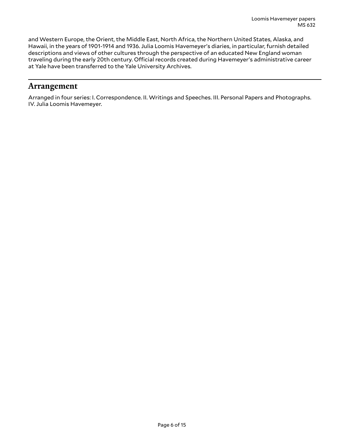and Western Europe, the Orient, the Middle East, North Africa, the Northern United States, Alaska, and Hawaii, in the years of 1901-1914 and 1936. Julia Loomis Havemeyer's diaries, in particular, furnish detailed descriptions and views of other cultures through the perspective of an educated New England woman traveling during the early 20th century. Official records created during Havemeyer's administrative career at Yale have been transferred to the Yale University Archives.

## <span id="page-5-0"></span>**Arrangement**

Arranged in four series: I. Correspondence. II. Writings and Speeches. III. Personal Papers and Photographs. IV. Julia Loomis Havemeyer.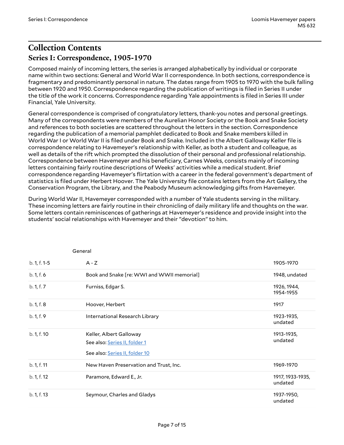# <span id="page-6-1"></span><span id="page-6-0"></span>**Collection Contents Series I: Correspondence, 1905-1970**

Composed mainly of incoming letters, the series is arranged alphabetically by individual or corporate name within two sections: General and World War II correspondence. In both sections, correspondence is fragmentary and predominantly personal in nature. The dates range from 1905 to 1970 with the bulk falling between 1920 and 1950. Correspondence regarding the publication of writings is filed in Series II under the title of the work it concerns. Correspondence regarding Yale appointments is filed in Series III under Financial, Yale University.

General correspondence is comprised of congratulatory letters, thank-you notes and personal greetings. Many of the correspondents were members of the Aurelian Honor Society or the Book and Snake Society and references to both societies are scattered throughout the letters in the section. Correspondence regarding the publication of a memorial pamphlet dedicated to Book and Snake members killed in World War I or World War II is filed under Book and Snake. Included in the Albert Galloway Keller file is correspondence relating to Havemeyer's relationship with Keller, as both a student and colleague, as well as details of the rift which prompted the dissolution of their personal and professional relationship. Correspondence between Havemeyer and his beneficiary, Carnes Weeks, consists mainly of incoming letters containing fairly routine descriptions of Weeks' activities while a medical student. Brief correspondence regarding Havemeyer's flirtation with a career in the federal government's department of statistics is filed under Herbert Hoover. The Yale University file contains letters from the Art Gallery, the Conservation Program, the Library, and the Peabody Museum acknowledging gifts from Havemeyer.

During World War II, Havemeyer corresponded with a number of Yale students serving in the military. These incoming letters are fairly routine in their chronicling of daily military life and thoughts on the war. Some letters contain reminiscences of gatherings at Havemeyer's residence and provide insight into the students' social relationships with Havemeyer and their "devotion" to him.

|              | General                                                                                    |                             |
|--------------|--------------------------------------------------------------------------------------------|-----------------------------|
| b. 1, f. 1-5 | $A - Z$                                                                                    | 1905-1970                   |
| b. 1, f. 6   | Book and Snake [re: WWI and WWII memorial]                                                 | 1948, undated               |
| b. 1, f. 7   | Furniss, Edgar S.                                                                          | 1926, 1944,<br>1954-1955    |
| b. 1, f. 8   | Hoover, Herbert                                                                            | 1917                        |
| b. 1, f. 9   | International Research Library                                                             | 1923-1935,<br>undated       |
| b. 1, f. 10  | Keller, Albert Galloway<br>See also: Series II, folder 1<br>See also: Series II, folder 10 | 1913-1935,<br>undated       |
| b. 1, f. 11  | New Haven Preservation and Trust, Inc.                                                     | 1969-1970                   |
| b. 1, f. 12  | Paramore, Edward E., Jr.                                                                   | 1917, 1933-1935,<br>undated |
| b. 1, f. 13  | Seymour, Charles and Gladys                                                                | 1937-1950,<br>undated       |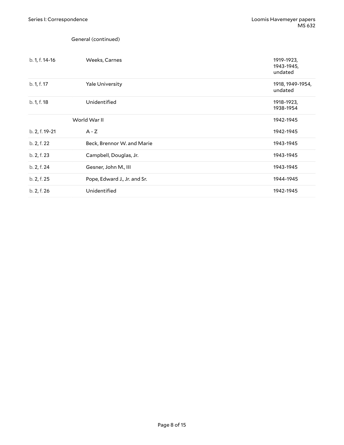General (continued)

| b. 1, f. 14-16 | Weeks, Carnes                | 1919-1923,<br>1943-1945,<br>undated |
|----------------|------------------------------|-------------------------------------|
| b. 1, f. 17    | <b>Yale University</b>       | 1918, 1949-1954,<br>undated         |
| b. 1, f. 18    | Unidentified                 | 1918-1923,<br>1938-1954             |
|                | World War II                 | 1942-1945                           |
| b. 2, f. 19-21 | $A - Z$                      | 1942-1945                           |
| b. 2, f. 22    | Beck, Brennor W. and Marie   | 1943-1945                           |
| b. 2, f. 23    | Campbell, Douglas, Jr.       | 1943-1945                           |
| b. 2, f. 24    | Gesner, John M., III         | 1943-1945                           |
| b. 2, f. 25    | Pope, Edward J., Jr. and Sr. | 1944-1945                           |
| b. 2, f. 26    | Unidentified                 | 1942-1945                           |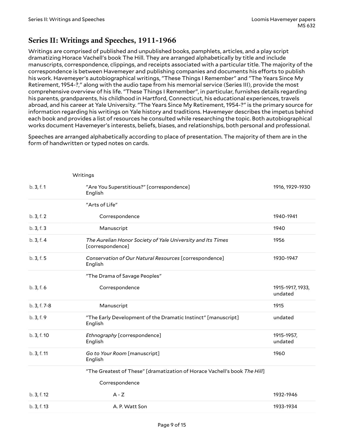#### <span id="page-8-0"></span>**Series II: Writings and Speeches, 1911-1966**

Writings are comprised of published and unpublished books, pamphlets, articles, and a play script dramatizing Horace Vachell's book The Hill. They are arranged alphabetically by title and include manuscripts, correspondence, clippings, and receipts associated with a particular title. The majority of the correspondence is between Havemeyer and publishing companies and documents his efforts to publish his work. Havemeyer's autobiographical writings, "These Things I Remember" and "The Years Since My Retirement, 1954-?," along with the audio tape from his memorial service (Series III), provide the most comprehensive overview of his life. "These Things I Remember", in particular, furnishes details regarding his parents, grandparents, his childhood in Hartford, Connecticut, his educational experiences, travels abroad, and his career at Yale University. "The Years Since My Retirement, 1954-?" is the primary source for information regarding his writings on Yale history and traditions. Havemeyer describes the impetus behind each book and provides a list of resources he consulted while researching the topic. Both autobiographical works document Havemeyer's interests, beliefs, biases, and relationships, both personal and professional.

Speeches are arranged alphabetically according to place of presentation. The majority of them are in the form of handwritten or typed notes on cards.

<span id="page-8-2"></span><span id="page-8-1"></span>

|              | Writings                                                                        |                             |
|--------------|---------------------------------------------------------------------------------|-----------------------------|
| b. 3, f. 1   | "Are You Superstitious?" [correspondence]<br>English                            | 1916, 1929-1930             |
|              | "Arts of Life"                                                                  |                             |
| b.3, f.2     | Correspondence                                                                  | 1940-1941                   |
| b. 3, f. 3   | Manuscript                                                                      | 1940                        |
| b.3, f.4     | The Aurelian Honor Society of Yale University and Its Times<br>[correspondence] | 1956                        |
| b. 3, f. 5   | Conservation of Our Natural Resources [correspondence]<br>English               | 1930-1947                   |
|              | "The Drama of Savage Peoples"                                                   |                             |
| b.3, f.6     | Correspondence                                                                  | 1915-1917, 1933,<br>undated |
| b. 3, f. 7-8 | Manuscript                                                                      | 1915                        |
| b. 3, f. 9   | "The Early Development of the Dramatic Instinct" [manuscript]<br>English        | undated                     |
| b. 3, f. 10  | Ethnography [correspondence]<br>English                                         | 1915-1957,<br>undated       |
| b. 3, f. 11  | Go to Your Room [manuscript]<br>English                                         | 1960                        |
|              | "The Greatest of These" [dramatization of Horace Vachell's book The Hill]       |                             |
|              | Correspondence                                                                  |                             |
| b. 3, f. 12  | $A - Z$                                                                         | 1932-1946                   |
| b. 3, f. 13  | A. P. Watt Son                                                                  | 1933-1934                   |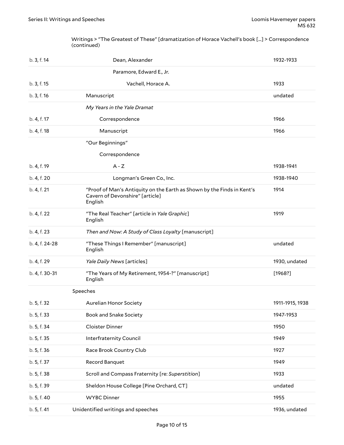Writings > "The Greatest of These" [dramatization of Horace Vachell's book [...] > Correspondence (continued)

| b. 3, f. 14    | Dean, Alexander                                                                                                      | 1932-1933       |
|----------------|----------------------------------------------------------------------------------------------------------------------|-----------------|
|                | Paramore, Edward E., Jr.                                                                                             |                 |
| b. 3, f. 15    | Vachell, Horace A.                                                                                                   | 1933            |
| b. 3, f. 16    | Manuscript                                                                                                           | undated         |
|                | My Years in the Yale Dramat                                                                                          |                 |
| b. 4, f. 17    | Correspondence                                                                                                       | 1966            |
| b. 4, f. 18    | Manuscript                                                                                                           | 1966            |
|                | "Our Beginnings"                                                                                                     |                 |
|                | Correspondence                                                                                                       |                 |
| b. 4, f. 19    | $A - Z$                                                                                                              | 1938-1941       |
| b. 4, f. 20    | Longman's Green Co., Inc.                                                                                            | 1938-1940       |
| b. 4, f. 21    | "Proof of Man's Antiquity on the Earth as Shown by the Finds in Kent's<br>Cavern of Devonshire" [article]<br>English | 1914            |
| b. 4, f. 22    | "The Real Teacher" [article in Yale Graphic]<br>English                                                              | 1919            |
| b. 4, f. 23    | Then and Now: A Study of Class Loyalty [manuscript]                                                                  |                 |
| b. 4, f. 24-28 | "These Things I Remember" [manuscript]<br>English                                                                    | undated         |
| b. 4, f. 29    | Yale Daily News [articles]                                                                                           | 1930, undated   |
| b. 4, f. 30-31 | "The Years of My Retirement, 1954-?" [manuscript]<br>English                                                         | [1968?]         |
|                | Speeches                                                                                                             |                 |
| b. 5, f. 32    | <b>Aurelian Honor Society</b>                                                                                        | 1911-1915, 1938 |
| b. 5, f. 33    | <b>Book and Snake Society</b>                                                                                        | 1947-1953       |
| b. 5, f. 34    | Cloister Dinner                                                                                                      | 1950            |
| b. 5, f. 35    | Interfraternity Council                                                                                              | 1949            |
| b. 5, f. 36    | Race Brook Country Club                                                                                              | 1927            |
| b. 5, f. 37    | Record Banquet                                                                                                       | 1949            |
| b. 5, f. 38    | Scroll and Compass Fraternity [re: Superstition]                                                                     | 1933            |
| b. 5, f. 39    | Sheldon House College [Pine Orchard, CT]                                                                             | undated         |
| b. 5, f. 40    | <b>WYBC Dinner</b>                                                                                                   | 1955            |
| b. 5, f. 41    | Unidentified writings and speeches                                                                                   | 1936, undated   |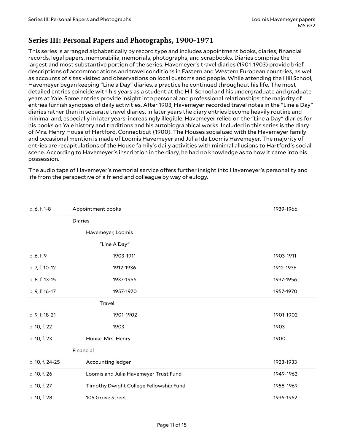#### <span id="page-10-0"></span>**Series III: Personal Papers and Photographs, 1900-1971**

This series is arranged alphabetically by record type and includes appointment books, diaries, financial records, legal papers, memorabilia, memorials, photographs, and scrapbooks. Diaries comprise the largest and most substantive portion of the series. Havemeyer's travel diaries (1901-1903) provide brief descriptions of accommodations and travel conditions in Eastern and Western European countries, as well as accounts of sites visited and observations on local customs and people. While attending the Hill School, Havemeyer began keeping "Line a Day" diaries, a practice he continued throughout his life. The most detailed entries coincide with his years as a student at the Hill School and his undergraduate and graduate years at Yale. Some entries provide insight into personal and professional relationships; the majority of entries furnish synopses of daily activities. After 1903, Havemeyer recorded travel notes in the "Line a Day" diaries rather than in separate travel diaries. In later years the diary entries become heavily routine and minimal and, especially in later years, increasingly illegible. Havemeyer relied on the "Line a Day" diaries for his books on Yale history and traditions and his autobiographical works. Included in this series is the diary of Mrs. Henry House of Hartford, Connecticut (1900). The Houses socialized with the Havemeyer family and occasional mention is made of Loomis Havemeyer and Julia Ida Loomis Havemeyer. The majority of entries are recapitulations of the House family's daily activities with minimal allusions to Hartford's social scene. According to Havemeyer's inscription in the diary, he had no knowledge as to how it came into his possession.

The audio tape of Havemeyer's memorial service offers further insight into Havemeyer's personality and life from the perspective of a friend and colleague by way of eulogy.

| b. 6, f. 1-8    | Appointment books                      | 1939-1966 |  |
|-----------------|----------------------------------------|-----------|--|
|                 | <b>Diaries</b>                         |           |  |
|                 | Havemeyer, Loomis                      |           |  |
|                 | "Line A Day"                           |           |  |
| b. 6, f. 9      | 1903-1911                              | 1903-1911 |  |
| b. 7, f. 10-12  | 1912-1936                              | 1912-1936 |  |
| b. 8, f. 13-15  | 1937-1956                              | 1937-1956 |  |
| b. 9, f. 16-17  | 1957-1970                              | 1957-1970 |  |
|                 | Travel                                 |           |  |
| b. 9, f. 18-21  | 1901-1902                              | 1901-1902 |  |
| b. 10, f. 22    | 1903                                   | 1903      |  |
| b. 10, f. 23    | House, Mrs. Henry                      | 1900      |  |
|                 | Financial                              |           |  |
| b. 10, f. 24-25 | Accounting ledger                      | 1923-1933 |  |
| b. 10, f. 26    | Loomis and Julia Havemeyer Trust Fund  | 1949-1962 |  |
| b. 10, f. 27    | Timothy Dwight College Fellowship Fund | 1958-1969 |  |
| b. 10, f. 28    | 105 Grove Street                       | 1936-1962 |  |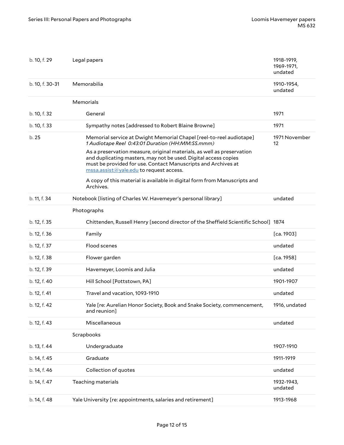| b. 10, f. 29    | Legal papers                                                                                                                                                                                                                                          | 1918-1919,<br>1969-1971,<br>undated |
|-----------------|-------------------------------------------------------------------------------------------------------------------------------------------------------------------------------------------------------------------------------------------------------|-------------------------------------|
| b. 10, f. 30-31 | Memorabilia                                                                                                                                                                                                                                           | 1910-1954,<br>undated               |
|                 | Memorials                                                                                                                                                                                                                                             |                                     |
| b. 10, f. 32    | General                                                                                                                                                                                                                                               | 1971                                |
| b. 10, f. 33    | Sympathy notes [addressed to Robert Blaine Browne]                                                                                                                                                                                                    | 1971                                |
| b. 25           | Memorial service at Dwight Memorial Chapel [reel-to-reel audiotape]<br>1 Audiotape Reel 0:43:01 Duration (HH:MM:SS.mmm)                                                                                                                               | 1971 November<br>12                 |
|                 | As a preservation measure, original materials, as well as preservation<br>and duplicating masters, may not be used. Digital access copies<br>must be provided for use. Contact Manuscripts and Archives at<br>mssa.assist@yale.edu to request access. |                                     |
|                 | A copy of this material is available in digital form from Manuscripts and<br>Archives.                                                                                                                                                                |                                     |
| b. 11, f. 34    | Notebook [listing of Charles W. Havemeyer's personal library]                                                                                                                                                                                         | undated                             |
|                 | Photographs                                                                                                                                                                                                                                           |                                     |
| b. 12, f. 35    | Chittenden, Russell Henry [second director of the Sheffield Scientific School] 1874                                                                                                                                                                   |                                     |
| b. 12, f. 36    | Family                                                                                                                                                                                                                                                | [ca. 1903]                          |
| b. 12, f. 37    | Flood scenes                                                                                                                                                                                                                                          | undated                             |
| b. 12, f. 38    | Flower garden                                                                                                                                                                                                                                         | [ca. 1958]                          |
| b. 12, f. 39    | Havemeyer, Loomis and Julia                                                                                                                                                                                                                           | undated                             |
| b. 12, f. 40    | Hill School [Pottstown, PA]                                                                                                                                                                                                                           | 1901-1907                           |
| b. 12, f. 41    | Travel and vacation, 1093-1910                                                                                                                                                                                                                        | undated                             |
| b. 12, f. 42    | Yale [re: Aurelian Honor Society, Book and Snake Society, commencement,<br>and reunion]                                                                                                                                                               | 1916, undated                       |
| b. 12, f. 43    | Miscellaneous                                                                                                                                                                                                                                         | undated                             |
|                 | Scrapbooks                                                                                                                                                                                                                                            |                                     |
| b. 13, f. 44    | Undergraduate                                                                                                                                                                                                                                         | 1907-1910                           |
| b. 14, f. 45    | Graduate                                                                                                                                                                                                                                              | 1911-1919                           |
| b. 14, f. 46    | Collection of quotes                                                                                                                                                                                                                                  | undated                             |
| b. 14, f. 47    | Teaching materials                                                                                                                                                                                                                                    | 1932-1943,<br>undated               |
|                 |                                                                                                                                                                                                                                                       |                                     |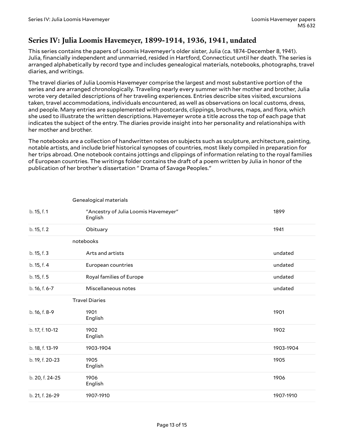# <span id="page-12-0"></span>**Series IV: Julia Loomis Havemeyer, 1899-1914, 1936, 1941, undated**

This series contains the papers of Loomis Havemeyer's older sister, Julia (ca. 1874-December 8, 1941). Julia, financially independent and unmarried, resided in Hartford, Connecticut until her death. The series is arranged alphabetically by record type and includes genealogical materials, notebooks, photographs, travel diaries, and writings.

The travel diaries of Julia Loomis Havemeyer comprise the largest and most substantive portion of the series and are arranged chronologically. Traveling nearly every summer with her mother and brother, Julia wrote very detailed descriptions of her traveling experiences. Entries describe sites visited, excursions taken, travel accommodations, individuals encountered, as well as observations on local customs, dress, and people. Many entries are supplemented with postcards, clippings, brochures, maps, and flora, which she used to illustrate the written descriptions. Havemeyer wrote a title across the top of each page that indicates the subject of the entry. The diaries provide insight into her personality and relationships with her mother and brother.

The notebooks are a collection of handwritten notes on subjects such as sculpture, architecture, painting, notable artists, and include brief historical synopses of countries, most likely compiled in preparation for her trips abroad. One notebook contains jottings and clippings of information relating to the royal families of European countries. The writings folder contains the draft of a poem written by Julia in honor of the publication of her brother's dissertation " Drama of Savage Peoples."

| b. 15, f. 1     | "Ancestry of Julia Loomis Havemeyer"<br>English | 1899      |
|-----------------|-------------------------------------------------|-----------|
| b. 15, f. 2     | Obituary                                        | 1941      |
|                 | notebooks                                       |           |
| b. 15, f. 3     | Arts and artists                                | undated   |
| b. 15, f. 4     | European countries                              | undated   |
| b. 15, f. 5     | Royal families of Europe                        | undated   |
| b. 16, f. 6-7   | Miscellaneous notes                             | undated   |
|                 | <b>Travel Diaries</b>                           |           |
| b. 16, f. 8-9   | 1901<br>English                                 | 1901      |
| b. 17, f. 10-12 | 1902<br>English                                 | 1902      |
| b. 18, f. 13-19 | 1903-1904                                       | 1903-1904 |
| b. 19, f. 20-23 | 1905<br>English                                 | 1905      |
| b. 20, f. 24-25 | 1906<br>English                                 | 1906      |
| b. 21, f. 26-29 | 1907-1910                                       | 1907-1910 |

Genealogical materials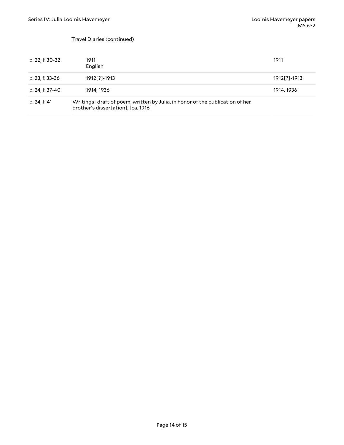#### Travel Diaries (continued)

| b. 22, f. 30-32 | 1911<br>English                                                                                                      | 1911            |
|-----------------|----------------------------------------------------------------------------------------------------------------------|-----------------|
| b. 23, f. 33-36 | 1912[?]-1913                                                                                                         | 1912 [?] - 1913 |
| b. 24, f. 37-40 | 1914, 1936                                                                                                           | 1914, 1936      |
| b. 24, f. 41    | Writings [draft of poem, written by Julia, in honor of the publication of her<br>brother's dissertation], [ca. 1916] |                 |